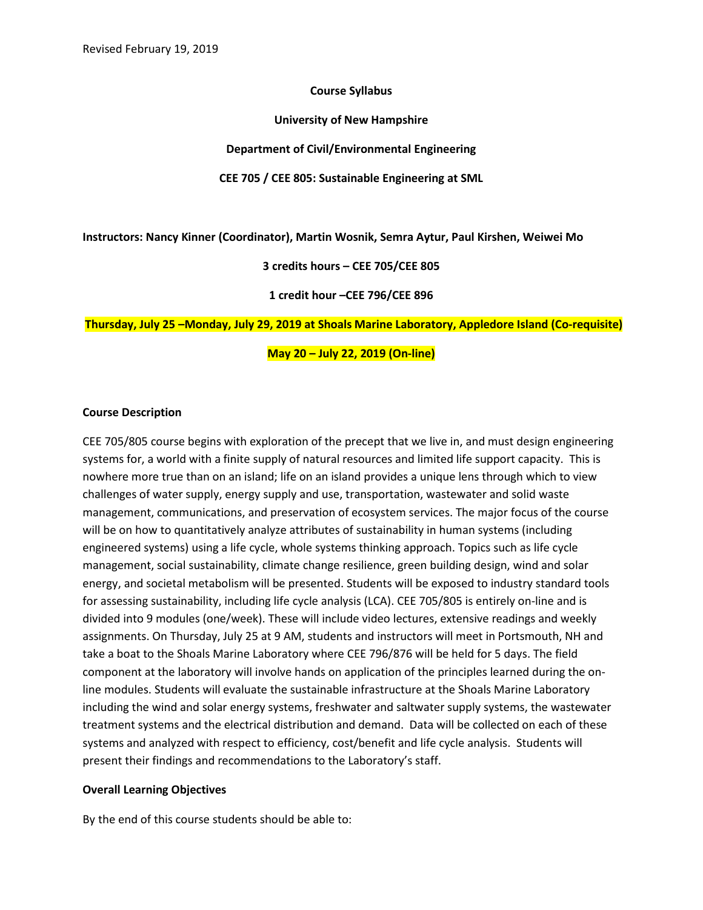### **Course Syllabus**

**University of New Hampshire**

**Department of Civil/Environmental Engineering**

**CEE 705 / CEE 805: Sustainable Engineering at SML**

**Instructors: Nancy Kinner (Coordinator), Martin Wosnik, Semra Aytur, Paul Kirshen, Weiwei Mo**

**3 credits hours – CEE 705/CEE 805**

**1 credit hour –CEE 796/CEE 896**

**Thursday, July 25 –Monday, July 29, 2019 at Shoals Marine Laboratory, Appledore Island (Co-requisite)**

**May 20 – July 22, 2019 (On-line)**

#### **Course Description**

CEE 705/805 course begins with exploration of the precept that we live in, and must design engineering systems for, a world with a finite supply of natural resources and limited life support capacity. This is nowhere more true than on an island; life on an island provides a unique lens through which to view challenges of water supply, energy supply and use, transportation, wastewater and solid waste management, communications, and preservation of ecosystem services. The major focus of the course will be on how to quantitatively analyze attributes of sustainability in human systems (including engineered systems) using a life cycle, whole systems thinking approach. Topics such as life cycle management, social sustainability, climate change resilience, green building design, wind and solar energy, and societal metabolism will be presented. Students will be exposed to industry standard tools for assessing sustainability, including life cycle analysis (LCA). CEE 705/805 is entirely on-line and is divided into 9 modules (one/week). These will include video lectures, extensive readings and weekly assignments. On Thursday, July 25 at 9 AM, students and instructors will meet in Portsmouth, NH and take a boat to the Shoals Marine Laboratory where CEE 796/876 will be held for 5 days. The field component at the laboratory will involve hands on application of the principles learned during the online modules. Students will evaluate the sustainable infrastructure at the Shoals Marine Laboratory including the wind and solar energy systems, freshwater and saltwater supply systems, the wastewater treatment systems and the electrical distribution and demand. Data will be collected on each of these systems and analyzed with respect to efficiency, cost/benefit and life cycle analysis. Students will present their findings and recommendations to the Laboratory's staff.

### **Overall Learning Objectives**

By the end of this course students should be able to: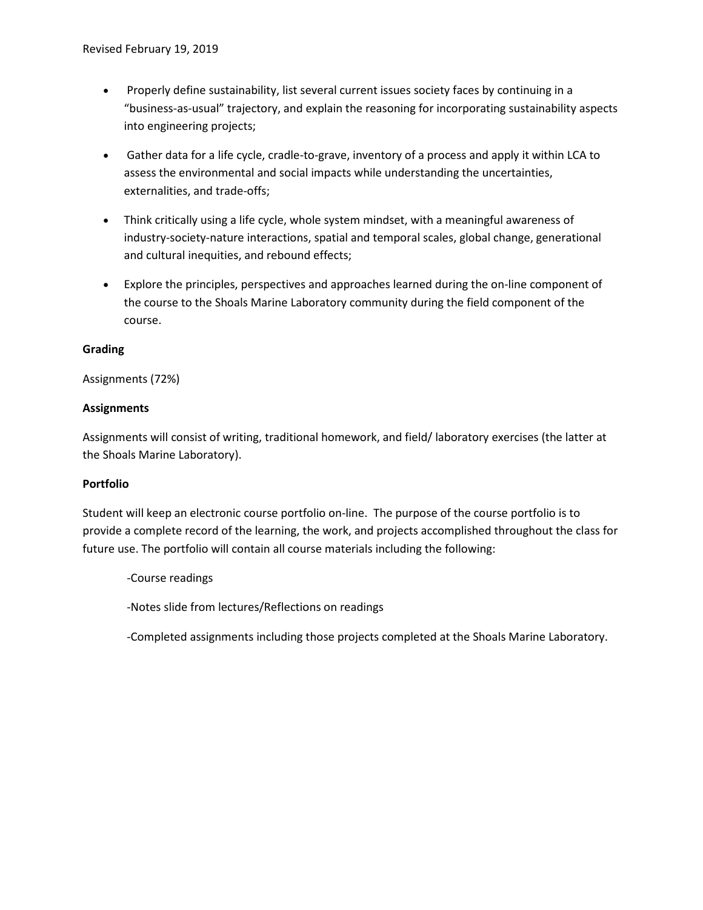- Properly define sustainability, list several current issues society faces by continuing in a "business-as-usual" trajectory, and explain the reasoning for incorporating sustainability aspects into engineering projects;
- Gather data for a life cycle, cradle-to-grave, inventory of a process and apply it within LCA to assess the environmental and social impacts while understanding the uncertainties, externalities, and trade-offs;
- Think critically using a life cycle, whole system mindset, with a meaningful awareness of industry-society-nature interactions, spatial and temporal scales, global change, generational and cultural inequities, and rebound effects;
- Explore the principles, perspectives and approaches learned during the on-line component of the course to the Shoals Marine Laboratory community during the field component of the course.

# **Grading**

# Assignments (72%)

# **Assignments**

Assignments will consist of writing, traditional homework, and field/ laboratory exercises (the latter at the Shoals Marine Laboratory).

### **Portfolio**

Student will keep an electronic course portfolio on-line. The purpose of the course portfolio is to provide a complete record of the learning, the work, and projects accomplished throughout the class for future use. The portfolio will contain all course materials including the following:

-Course readings

-Notes slide from lectures/Reflections on readings

-Completed assignments including those projects completed at the Shoals Marine Laboratory.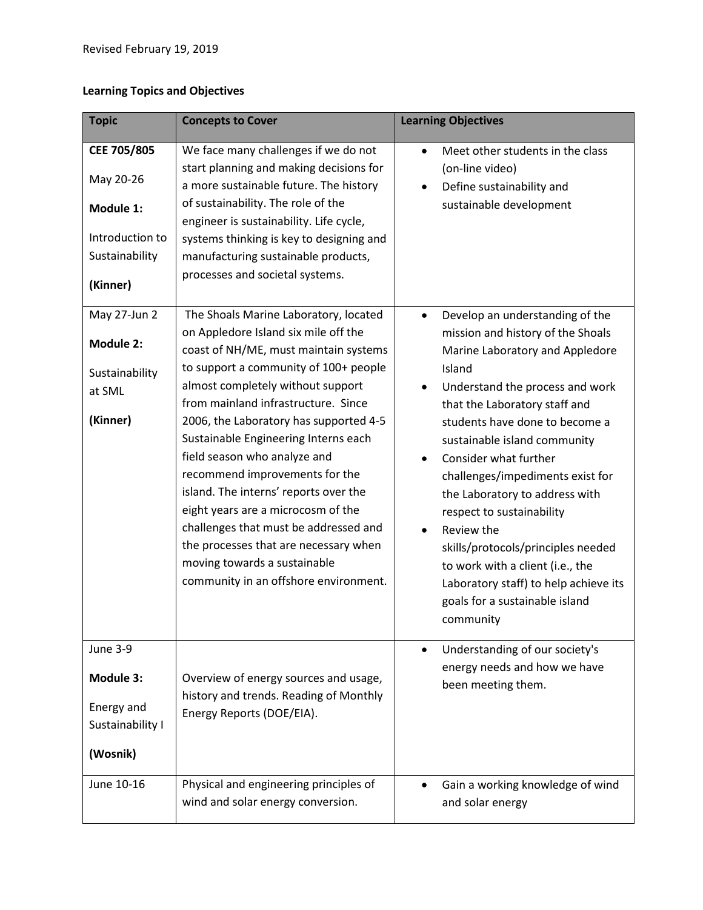# **Learning Topics and Objectives**

| <b>Topic</b>                                                                                           | <b>Concepts to Cover</b>                                                                                                                                                                                                                                                                                                                                                                                                                                                                                                                                 | <b>Learning Objectives</b>                                                                                                                                                                                                                                                                                                                                                                                                                                                                               |
|--------------------------------------------------------------------------------------------------------|----------------------------------------------------------------------------------------------------------------------------------------------------------------------------------------------------------------------------------------------------------------------------------------------------------------------------------------------------------------------------------------------------------------------------------------------------------------------------------------------------------------------------------------------------------|----------------------------------------------------------------------------------------------------------------------------------------------------------------------------------------------------------------------------------------------------------------------------------------------------------------------------------------------------------------------------------------------------------------------------------------------------------------------------------------------------------|
| CEE 705/805<br>May 20-26<br>Module 1:<br>Introduction to<br>Sustainability<br>(Kinner)<br>May 27-Jun 2 | We face many challenges if we do not<br>start planning and making decisions for<br>a more sustainable future. The history<br>of sustainability. The role of the<br>engineer is sustainability. Life cycle,<br>systems thinking is key to designing and<br>manufacturing sustainable products,<br>processes and societal systems.<br>The Shoals Marine Laboratory, located<br>on Appledore Island six mile off the                                                                                                                                        | Meet other students in the class<br>$\bullet$<br>(on-line video)<br>Define sustainability and<br>$\bullet$<br>sustainable development<br>Develop an understanding of the<br>$\bullet$<br>mission and history of the Shoals                                                                                                                                                                                                                                                                               |
| <b>Module 2:</b><br>Sustainability<br>at SML<br>(Kinner)                                               | coast of NH/ME, must maintain systems<br>to support a community of 100+ people<br>almost completely without support<br>from mainland infrastructure. Since<br>2006, the Laboratory has supported 4-5<br>Sustainable Engineering Interns each<br>field season who analyze and<br>recommend improvements for the<br>island. The interns' reports over the<br>eight years are a microcosm of the<br>challenges that must be addressed and<br>the processes that are necessary when<br>moving towards a sustainable<br>community in an offshore environment. | Marine Laboratory and Appledore<br>Island<br>Understand the process and work<br>$\bullet$<br>that the Laboratory staff and<br>students have done to become a<br>sustainable island community<br>Consider what further<br>challenges/impediments exist for<br>the Laboratory to address with<br>respect to sustainability<br>Review the<br>skills/protocols/principles needed<br>to work with a client (i.e., the<br>Laboratory staff) to help achieve its<br>goals for a sustainable island<br>community |
| <b>June 3-9</b><br><b>Module 3:</b><br>Energy and<br>Sustainability I<br>(Wosnik)                      | Overview of energy sources and usage,<br>history and trends. Reading of Monthly<br>Energy Reports (DOE/EIA).                                                                                                                                                                                                                                                                                                                                                                                                                                             | Understanding of our society's<br>$\bullet$<br>energy needs and how we have<br>been meeting them.                                                                                                                                                                                                                                                                                                                                                                                                        |
| June 10-16                                                                                             | Physical and engineering principles of<br>wind and solar energy conversion.                                                                                                                                                                                                                                                                                                                                                                                                                                                                              | Gain a working knowledge of wind<br>and solar energy                                                                                                                                                                                                                                                                                                                                                                                                                                                     |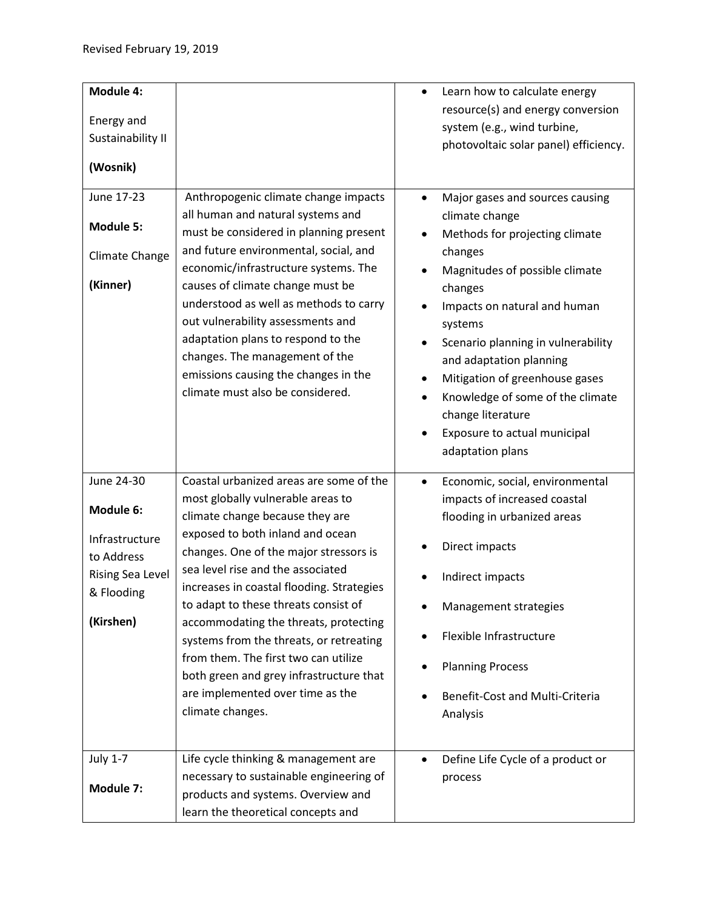| Module 4:                                                                                                     |                                                                                                                                                                                                                                                                                                                                                                                                                                                                                                                                                        | $\bullet$                   | Learn how to calculate energy                                                                                                                                                                                                                                                                                                                                                                          |
|---------------------------------------------------------------------------------------------------------------|--------------------------------------------------------------------------------------------------------------------------------------------------------------------------------------------------------------------------------------------------------------------------------------------------------------------------------------------------------------------------------------------------------------------------------------------------------------------------------------------------------------------------------------------------------|-----------------------------|--------------------------------------------------------------------------------------------------------------------------------------------------------------------------------------------------------------------------------------------------------------------------------------------------------------------------------------------------------------------------------------------------------|
| Energy and<br>Sustainability II<br>(Wosnik)                                                                   |                                                                                                                                                                                                                                                                                                                                                                                                                                                                                                                                                        |                             | resource(s) and energy conversion<br>system (e.g., wind turbine,<br>photovoltaic solar panel) efficiency.                                                                                                                                                                                                                                                                                              |
| June 17-23<br><b>Module 5:</b><br>Climate Change<br>(Kinner)                                                  | Anthropogenic climate change impacts<br>all human and natural systems and<br>must be considered in planning present<br>and future environmental, social, and<br>economic/infrastructure systems. The<br>causes of climate change must be<br>understood as well as methods to carry<br>out vulnerability assessments and<br>adaptation plans to respond to the<br>changes. The management of the<br>emissions causing the changes in the<br>climate must also be considered.                                                                            | $\bullet$<br>$\bullet$<br>٠ | Major gases and sources causing<br>climate change<br>Methods for projecting climate<br>changes<br>Magnitudes of possible climate<br>changes<br>Impacts on natural and human<br>systems<br>Scenario planning in vulnerability<br>and adaptation planning<br>Mitigation of greenhouse gases<br>Knowledge of some of the climate<br>change literature<br>Exposure to actual municipal<br>adaptation plans |
| June 24-30<br>Module 6:<br>Infrastructure<br>to Address<br><b>Rising Sea Level</b><br>& Flooding<br>(Kirshen) | Coastal urbanized areas are some of the<br>most globally vulnerable areas to<br>climate change because they are<br>exposed to both inland and ocean<br>changes. One of the major stressors is<br>sea level rise and the associated<br>increases in coastal flooding. Strategies<br>to adapt to these threats consist of<br>accommodating the threats, protecting<br>systems from the threats, or retreating<br>from them. The first two can utilize<br>both green and grey infrastructure that<br>are implemented over time as the<br>climate changes. | ٠                           | Economic, social, environmental<br>impacts of increased coastal<br>flooding in urbanized areas<br>Direct impacts<br>Indirect impacts<br>Management strategies<br>Flexible Infrastructure<br><b>Planning Process</b><br>Benefit-Cost and Multi-Criteria<br>Analysis                                                                                                                                     |
| <b>July 1-7</b><br>Module 7:                                                                                  | Life cycle thinking & management are<br>necessary to sustainable engineering of<br>products and systems. Overview and<br>learn the theoretical concepts and                                                                                                                                                                                                                                                                                                                                                                                            |                             | Define Life Cycle of a product or<br>process                                                                                                                                                                                                                                                                                                                                                           |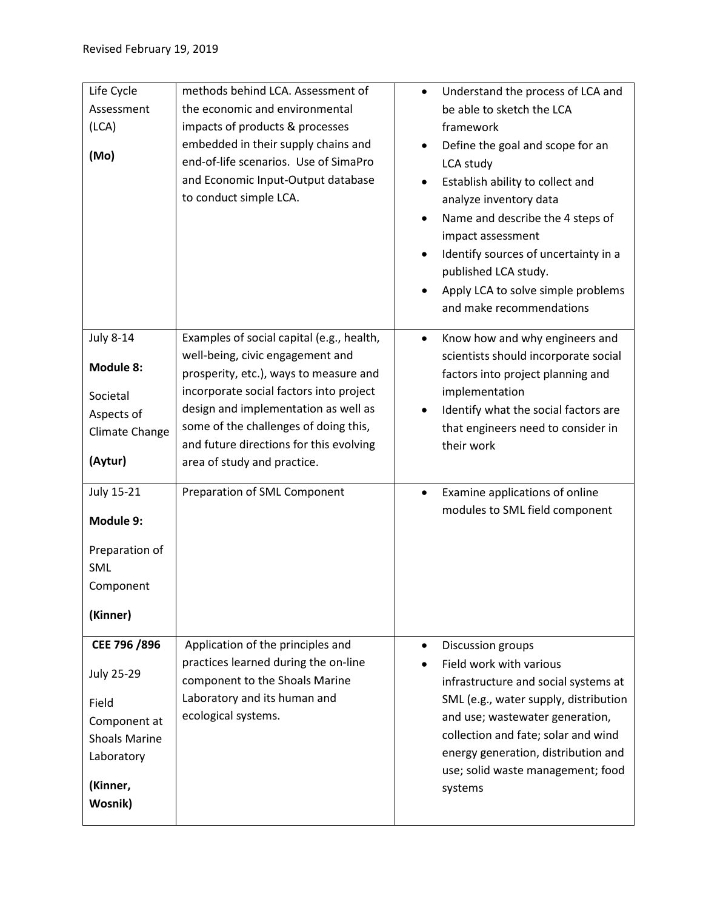| Life Cycle           | methods behind LCA. Assessment of         | Understand the process of LCA and<br>$\bullet$ |
|----------------------|-------------------------------------------|------------------------------------------------|
| Assessment           | the economic and environmental            | be able to sketch the LCA                      |
| (LCA)                | impacts of products & processes           | framework                                      |
|                      | embedded in their supply chains and       | Define the goal and scope for an               |
| (Mo)                 | end-of-life scenarios. Use of SimaPro     | LCA study                                      |
|                      | and Economic Input-Output database        | Establish ability to collect and               |
|                      | to conduct simple LCA.                    | analyze inventory data                         |
|                      |                                           | Name and describe the 4 steps of               |
|                      |                                           | impact assessment                              |
|                      |                                           | Identify sources of uncertainty in a           |
|                      |                                           | published LCA study.                           |
|                      |                                           | Apply LCA to solve simple problems             |
|                      |                                           | and make recommendations                       |
|                      |                                           |                                                |
| <b>July 8-14</b>     | Examples of social capital (e.g., health, | Know how and why engineers and<br>$\bullet$    |
| <b>Module 8:</b>     | well-being, civic engagement and          | scientists should incorporate social           |
|                      | prosperity, etc.), ways to measure and    | factors into project planning and              |
| Societal             | incorporate social factors into project   | implementation                                 |
| Aspects of           | design and implementation as well as      | Identify what the social factors are           |
| Climate Change       | some of the challenges of doing this,     | that engineers need to consider in             |
|                      | and future directions for this evolving   | their work                                     |
| (Aytur)              | area of study and practice.               |                                                |
| <b>July 15-21</b>    | Preparation of SML Component              | Examine applications of online<br>$\bullet$    |
|                      |                                           | modules to SML field component                 |
| Module 9:            |                                           |                                                |
| Preparation of       |                                           |                                                |
| <b>SML</b>           |                                           |                                                |
| Component            |                                           |                                                |
|                      |                                           |                                                |
| (Kinner)             |                                           |                                                |
| CEE 796 /896         | Application of the principles and         | Discussion groups                              |
|                      | practices learned during the on-line      | Field work with various                        |
| <b>July 25-29</b>    | component to the Shoals Marine            | infrastructure and social systems at           |
| Field                | Laboratory and its human and              | SML (e.g., water supply, distribution          |
| Component at         | ecological systems.                       | and use; wastewater generation,                |
| <b>Shoals Marine</b> |                                           | collection and fate; solar and wind            |
| Laboratory           |                                           | energy generation, distribution and            |
|                      |                                           | use; solid waste management; food              |
|                      |                                           |                                                |
| (Kinner,             |                                           | systems                                        |
| Wosnik)              |                                           |                                                |